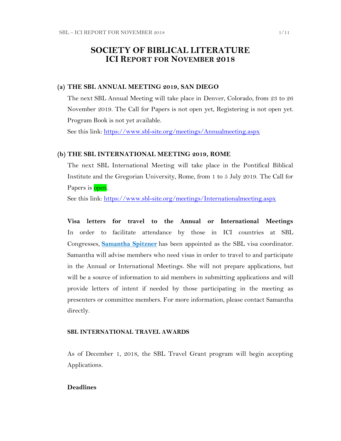# **SOCIETY OF BIBLICAL LITERATURE ICI REPORT FOR NOVEMBER 2018**

#### **(a) THE SBL ANNUAL MEETING 2019, SAN DIEGO**

The next SBL Annual Meeting will take place in Denver, Colorado, from 23 to 26 November 2019. The Call for Papers is not open yet, Registering is not open yet. Program Book is not yet available.

See this link:<https://www.sbl-site.org/meetings/Annualmeeting.aspx>

#### **(b) THE SBL INTERNATIONAL MEETING 2019, ROME**

The next SBL International Meeting will take place in the Pontifical Biblical Institute and the Gregorian University, Rome, from 1 to 5 July 2019. The Call for Papers is open.

See this link:<https://www.sbl-site.org/meetings/Internationalmeeting.aspx>

**Visa letters for travel to the Annual or International Meetings** In order to facilitate attendance by those in ICI countries at SBL Congresses, **[Samantha Spitzner](mailto:samantha.spitzner@sbl-site.org)** has been appointed as the SBL visa coordinator. Samantha will advise members who need visas in order to travel to and participate in the Annual or International Meetings. She will not prepare applications, but will be a source of information to aid members in submitting applications and will provide letters of intent if needed by those participating in the meeting as presenters or committee members. For more information, please contact Samantha directly.

#### **SBL INTERNATIONAL TRAVEL AWARDS**

As of December 1, 2018, the SBL Travel Grant program will begin accepting Applications.

### **Deadlines**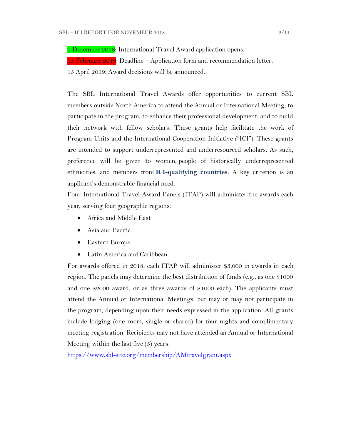1 December 2018: International Travel Award application opens.

15 February  $2019$ : Deadline – Application form and recommendation letter.

15 April 2019: Award decisions will be announced.

The SBL International Travel Awards offer opportunities to current SBL members outside North America to attend the Annual or International Meeting, to participate in the program, to enhance their professional development, and to build their network with fellow scholars. These grants help facilitate the work of Program Units and the International Cooperation Initiative ("ICI"). These grants are intended to support underrepresented and underresourced scholars. As such, preference will be given to women, people of historically underrepresented ethnicities, and members from **[ICI-qualifying countries](https://www.sbl-site.org/assets/pdfs/ICIcountries.pdf)**. A key criterion is an applicant's demonstrable financial need.

Four International Travel Award Panels (ITAP) will administer the awards each year, serving four geographic regions:

- Africa and Middle East
- Asia and Pacific
- Eastern Europe
- Latin America and Caribbean

For awards offered in 2018, each ITAP will administer \$3,000 in awards in each region. The panels may determine the best distribution of funds (e.g., as one \$1000 and one \$2000 award, or as three awards of \$1000 each). The applicants must attend the Annual or International Meetings, but may or may not participate in the program, depending upon their needs expressed in the application. All grants include lodging (one room, single or shared) for four nights and complimentary meeting registration. Recipients may not have attended an Annual or International Meeting within the last five (5) years.

<https://www.sbl-site.org/membership/AMtravelgrant.aspx>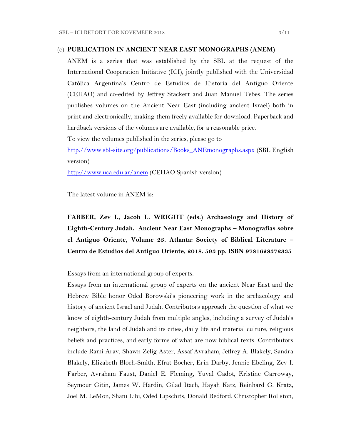#### (c) **PUBLICATION IN [ANCIENT NEAR EAST MONOGRAPHS](http://www.sbl-site.org/publications/Books_ANEmonographs.aspx) (ANEM)**

ANEM is a series that was established by the SBL at the request of the International Cooperation Initiative (ICI), jointly published with the Universidad Católica Argentina's Centro de Estudios de Historia del Antiguo Oriente (CEHAO) and co-edited by Jeffrey Stackert and Juan Manuel Tebes. The series publishes volumes on the Ancient Near East (including ancient Israel) both in print and electronically, making them freely available for download. Paperback and hardback versions of the volumes are available, for a reasonable price.

To view the volumes published in the series, please go to

[http://www.sbl-site.org/publications/Books\\_ANEmonographs.aspx](http://www.sbl-site.org/publications/Books_ANEmonographs.aspx) (SBL English version)

<http://www.uca.edu.ar/anem> (CEHAO Spanish version)

The latest volume in ANEM is:

**FARBER, Zev I., Jacob L. WRIGHT (eds.) Archaeology and History of Eighth-Century Judah. Ancient Near East Monographs – Monografías sobre el Antiguo Oriente, Volume 23. Atlanta: Society of Biblical Literature – Centro de Estudios del Antiguo Oriente, 2018. 593 pp. ISBN 9781628372335**

Essays from an international group of experts.

Essays from an international group of experts on the ancient Near East and the Hebrew Bible honor Oded Borowski's pioneering work in the archaeology and history of ancient Israel and Judah. Contributors approach the question of what we know of eighth-century Judah from multiple angles, including a survey of Judah's neighbors, the land of Judah and its cities, daily life and material culture, religious beliefs and practices, and early forms of what are now biblical texts. Contributors include Rami Arav, Shawn Zelig Aster, Assaf Avraham, Jeffrey A. Blakely, Sandra Blakely, Elizabeth Bloch-Smith, Efrat Bocher, Erin Darby, Jennie Ebeling, Zev I. Farber, Avraham Faust, Daniel E. Fleming, Yuval Gadot, Kristine Garroway, Seymour Gitin, James W. Hardin, Gilad Itach, Hayah Katz, Reinhard G. Kratz, Joel M. LeMon, Shani Libi, Oded Lipschits, Donald Redford, Christopher Rollston,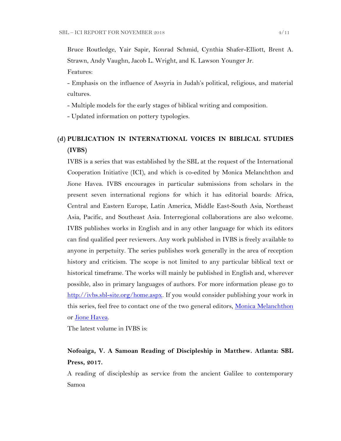Bruce Routledge, Yair Sapir, Konrad Schmid, Cynthia Shafer-Elliott, Brent A. Strawn, Andy Vaughn, Jacob L. Wright, and K. Lawson Younger Jr.

Features:

- Emphasis on the influence of Assyria in Judah's political, religious, and material cultures.

- Multiple models for the early stages of biblical writing and composition.

- Updated information on pottery typologies.

# **(d) PUBLICATION IN INTERNATIONAL VOICES IN BIBLICAL STUDIES (IVBS)**

IVBS is a series that was established by the SBL at the request of the International Cooperation Initiative (ICI), and which is co-edited by Monica Melanchthon and Jione Havea. IVBS encourages in particular submissions from scholars in the present seven international regions for which it has editorial boards: Africa, Central and Eastern Europe, Latin America, Middle East-South Asia, Northeast Asia, Pacific, and Southeast Asia. Interregional collaborations are also welcome. IVBS publishes works in English and in any other language for which its editors can find qualified peer reviewers. Any work published in IVBS is freely available to anyone in perpetuity. The series publishes work generally in the area of reception history and criticism. The scope is not limited to any particular biblical text or historical timeframe. The works will mainly be published in English and, wherever possible, also in primary languages of authors. For more information please go to [http://ivbs.sbl-site.org/home.aspx.](http://ivbs.sbl-site.org/home.aspx) If you would consider publishing your work in this series, feel free to contact one of the two general editors, [Monica Melanchthon](mailto:ivbs2010@gmail.com) or [Jione Havea.](mailto:jioneh@nsw.uca.org.au)

The latest volume in IVBS is:

# **Nofoaiga, V. A Samoan Reading of Discipleship in Matthew. Atlanta: SBL Press, 2017.**

A reading of discipleship as service from the ancient Galilee to contemporary Samoa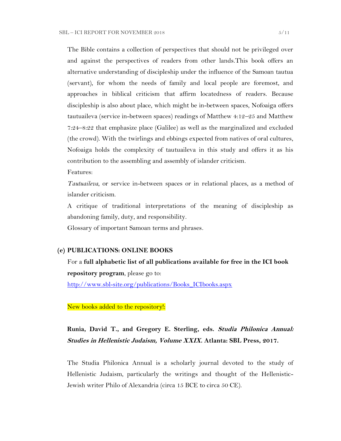The Bible contains a collection of perspectives that should not be privileged over and against the perspectives of readers from other lands.This book offers an alternative understanding of discipleship under the influence of the Samoan tautua (servant), for whom the needs of family and local people are foremost, and approaches in biblical criticism that affirm locatedness of readers. Because discipleship is also about place, which might be in-between spaces, Nofoaiga offers tautuaileva (service in-between spaces) readings of Matthew 4:12–25 and Matthew 7:24–8:22 that emphasize place (Galilee) as well as the marginalized and excluded (the crowd). With the twirlings and ebbings expected from natives of oral cultures, Nofoaiga holds the complexity of tautuaileva in this study and offers it as his contribution to the assembling and assembly of islander criticism.

Features:

*Tautuaileva*, or service in-between spaces or in relational places, as a method of islander criticism.

A critique of traditional interpretations of the meaning of discipleship as abandoning family, duty, and responsibility.

Glossary of important Samoan terms and phrases.

#### **(e) PUBLICATIONS: ONLINE BOOKS**

For a **full alphabetic list of all publications available for free in the ICI book repository program**, please go to:

[http://www.sbl-site.org/publications/Books\\_ICIbooks.aspx](http://www.sbl-site.org/publications/Books_ICIbooks.aspx)

New books added to the repository!:

# **Runia, David T., and Gregory E. Sterling, eds. Studia Philonica Annual: Studies in Hellenistic Judaism, Volume XXIX. Atlanta: SBL Press, 2017.**

The Studia Philonica Annual is a scholarly journal devoted to the study of Hellenistic Judaism, particularly the writings and thought of the Hellenistic-Jewish writer Philo of Alexandria (circa 15 BCE to circa 50 CE).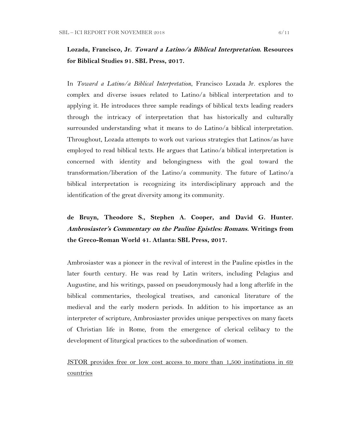# **Lozada, Francisco, Jr. Toward a Latino/a Biblical Interpretation. Resources for Biblical Studies 91. SBL Press, 2017.**

In *Toward a Latino/a Biblical Interpretation*, Francisco Lozada Jr. explores the complex and diverse issues related to Latino/a biblical interpretation and to applying it. He introduces three sample readings of biblical texts leading readers through the intricacy of interpretation that has historically and culturally surrounded understanding what it means to do Latino/a biblical interpretation. Throughout, Lozada attempts to work out various strategies that Latinos/as have employed to read biblical texts. He argues that Latino/a biblical interpretation is concerned with identity and belongingness with the goal toward the transformation/liberation of the Latino/a community. The future of Latino/a biblical interpretation is recognizing its interdisciplinary approach and the identification of the great diversity among its community.

# **de Bruyn, Theodore S., Stephen A. Cooper, and David G. Hunter. Ambrosiaster's Commentary on the Pauline Epistles: Romans. Writings from the Greco-Roman World 41. Atlanta: SBL Press, 2017.**

Ambrosiaster was a pioneer in the revival of interest in the Pauline epistles in the later fourth century. He was read by Latin writers, including Pelagius and Augustine, and his writings, passed on pseudonymously had a long afterlife in the biblical commentaries, theological treatises, and canonical literature of the medieval and the early modern periods. In addition to his importance as an interpreter of scripture, Ambrosiaster provides unique perspectives on many facets of Christian life in Rome, from the emergence of clerical celibacy to the development of liturgical practices to the subordination of women.

JSTOR provides free or low cost access to more than 1,500 institutions in 69 countries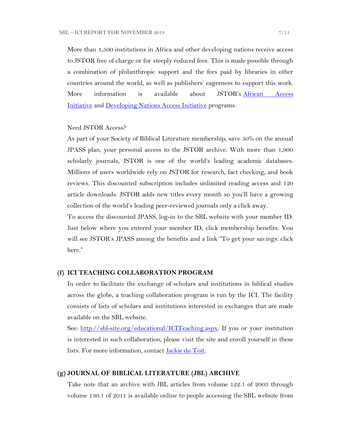More than 1,500 institutions in Africa and other developing nations receive access to JSTOR free of charge or for steeply reduced fees. This is made possible through a combination of philanthropic support and the fees paid by libraries in other countries around the world, as well as publishers' eagerness to support this work. More information is available about JSTOR's [African Access](http://about.jstor.org/libraries/african-access-initiative)  [Initiative](http://about.jstor.org/libraries/african-access-initiative) and [Developing Nations Access Initiative](http://about.jstor.org/libraries/developing-nations-access-initiative) programs.

#### Need JSTOR Access?

As part of your Society of Biblical Literature membership, save 50% on the annual JPASS plan, your personal access to the JSTOR archive. With more than 1,900 scholarly journals, JSTOR is one of the world's leading academic databases. Millions of users worldwide rely on JSTOR for research, fact checking, and book reviews. This discounted subscription includes unlimited reading access and 120 article downloads. JSTOR adds new titles every month so you'll have a growing collection of the world's leading peer-reviewed journals only a click away.

To access the discounted JPASS, log-in to the SBL website with your member ID. Just below where you entered your member ID, click membership benefits. You will see JSTOR's JPASS among the benefits and a link "To get your savings: click here."

### **(f) ICI TEACHING COLLABORATION PROGRAM**

In order to facilitate the exchange of scholars and institutions in biblical studies across the globe, a teaching collaboration program is run by the ICI. The facility consists of lists of scholars and institutions interested in exchanges that are made available on the SBL website.

See: [http://sbl-site.org/educational/ICITeaching.aspx.](http://sbl-site.org/educational/ICITeaching.aspx) If you or your institution is interested in such collaboration, please visit the site and enroll yourself in these lists. For more information, contact [Jackie du Toit.](mailto:dutoitjs@ufs.ac.za)

#### **(g) JOURNAL OF BIBLICAL LITERATURE (JBL) ARCHIVE**

Take note that an archive with JBL articles from volume 122.1 of 2003 through volume 130.1 of 2011 is available online to people accessing the SBL website from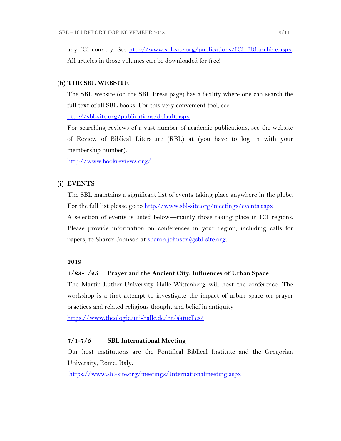any ICI country. See http://www.sbl-site.org/publications/ICI\_JBLarchive.aspx. All articles in those volumes can be downloaded for free!

#### **(h) THE SBL WEBSITE**

The SBL website (on the SBL Press page) has a facility where one can search the full text of all SBL books! For this very convenient tool, see:

<http://sbl-site.org/publications/default.aspx>

For searching reviews of a vast number of academic publications, see the website of Review of Biblical Literature (RBL) at (you have to log in with your membership number):

<http://www.bookreviews.org/>

### **(i) EVENTS**

The SBL maintains a significant list of events taking place anywhere in the globe. For the full list please go to<http://www.sbl-site.org/meetings/events.aspx> A selection of events is listed below—mainly those taking place in ICI regions.

Please provide information on conferences in your region, including calls for papers, to Sharon Johnson at  $\frac{\text{sharon.}(\partial s\text{bl-site.} \text{org.}}{\text{gl.}(\partial s\text{bl-site.} \text{org.}})$ 

#### **2019**

#### **1/23-1/25 Prayer and the Ancient City: Influences of Urban Space**

The Martin-Luther-University Halle-Wittenberg will host the conference. The workshop is a first attempt to investigate the impact of urban space on prayer practices and related religious thought and belief in antiquity

<https://www.theologie.uni-halle.de/nt/aktuelles/>

### **7/1-7/5 SBL International Meeting**

Our host institutions are the Pontifical Biblical Institute and the Gregorian University, Rome, Italy.

<https://www.sbl-site.org/meetings/Internationalmeeting.aspx>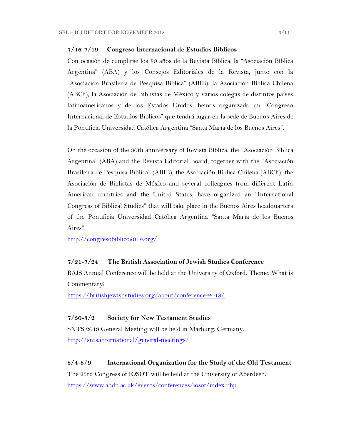### **7/16-7/19 Congreso Internacional de Estudios Bíblicos**

Con ocasión de cumplirse los 80 años de la Revista Bíblica, la "Asociación Bíblica Argentina" (ABA) y los Consejos Editoriales de la Revista, junto con la "Asociación Brasileira de Pesquisa Bíblica" (ABIB), la Asociación Bíblica Chilena (ABCh), la Asociación de Biblistas de México y varios colegas de distintos países latinoamericanos y de los Estados Unidos, hemos organizado un "Congreso Internacional de Estudios Bíblicos" que tendrá lugar en la sede de Buenos Aires de la Pontificia Universidad Católica Argentina "Santa María de los Buenos Aires".

On the occasion of the 80th anniversary of Revista Bíblica, the "Asociación Bíblica Argentina" (ABA) and the Revista Editorial Board, together with the "Asociación Brasileira de Pesquisa Bíblica" (ABIB), the Asociación Bíblica Chilena (ABCh), the Asociación de Biblistas de México and several colleagues from different Latin American countries and the United States, have organized an "International Congress of Biblical Studies" that will take place in the Buenos Aires headquarters of the Pontificia Universidad Católica Argentina "Santa María de los Buenos Aires".

<http://congresobiblico2019.org/>

#### **7/21-7/24 The British Association of Jewish Studies Conference**

BAJS Annual Conference will be held at the University of Oxford. Theme: What is Commentary?

<https://britishjewishstudies.org/about/conference-2018/>

### **7/30-8/2 Society for New Testament Studies**

SNTS 2019 General Meeting will be held in Marburg, Germany. <http://snts.international/general-meetings/>

#### **8/4-8/9 International Organization for the Study of the Old Testament**

The 23rd Congress of IOSOT will be held at the University of Aberdeen. <https://www.abdn.ac.uk/events/conferences/iosot/index.php>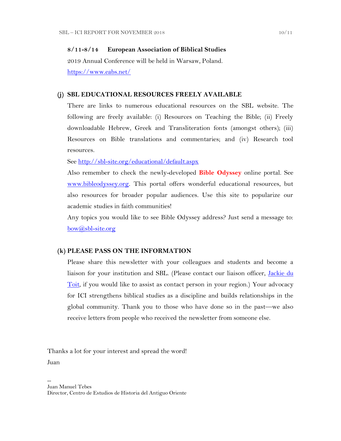#### **8/11-8/14 European Association of Biblical Studies**

2019 Annual Conference will be held in Warsaw, Poland. <https://www.eabs.net/>

#### **(j) SBL EDUCATIONAL RESOURCES FREELY AVAILABLE**

There are links to numerous educational resources on the SBL website. The following are freely available: (i) Resources on Teaching the Bible; (ii) Freely downloadable Hebrew, Greek and Transliteration fonts (amongst others); (iii) Resources on Bible translations and commentaries; and (iv) Research tool resources.

See<http://sbl-site.org/educational/default.aspx>

Also remember to check the newly-developed **Bible Odyssey** online portal. See [www.bibleodyssey.org.](http://www.bibleodyssey.org/) This portal offers wonderful educational resources, but also resources for broader popular audiences. Use this site to popularize our academic studies in faith communities!

Any topics you would like to see Bible Odyssey address? Just send a message to: [bow@sbl-site.org](mailto:bow@sbl-site.org)

### **(k) PLEASE PASS ON THE INFORMATION**

Please share this newsletter with your colleagues and students and become a liaison for your institution and SBL. (Please contact our liaison officer, [Jackie du](mailto:dutoitjs@ufs.ac.za)  [Toit,](mailto:dutoitjs@ufs.ac.za) if you would like to assist as contact person in your region.) Your advocacy for ICI strengthens biblical studies as a discipline and builds relationships in the global community. Thank you to those who have done so in the past—we also receive letters from people who received the newsletter from someone else.

Thanks a lot for your interest and spread the word!

Juan